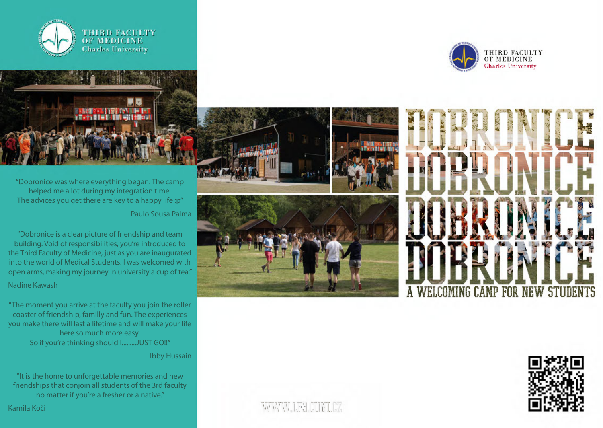



"Dobronice was where everything began. The camp helped me a lot during my integration time. The advices you get there are key to a happy life :p" Paulo Sousa Palma

"Dobronice is a clear picture of friendship and team building. Void of responsibilities, you're introduced to the Third Faculty of Medicine, just as you are inaugurated into the world of Medical Students. I was welcomed with open arms, making my journey in university a cup of tea." Nadine Kawash

"The moment you arrive at the faculty you join the roller coaster of friendship, familly and fun. The experiences you make there will last a lifetime and will make your life here so much more easy. So if you're thinking should I.........JUST GO!!"

Ibby Hussain

"It is the home to unforgettable memories and new friendships that conjoin all students of the 3rd faculty no matter if you're a fresher or a native."

Kamila Koči



WWW.LEB.COMLOZ



THIRD FACULTY<br>OF MEDICINE<br>Charles University